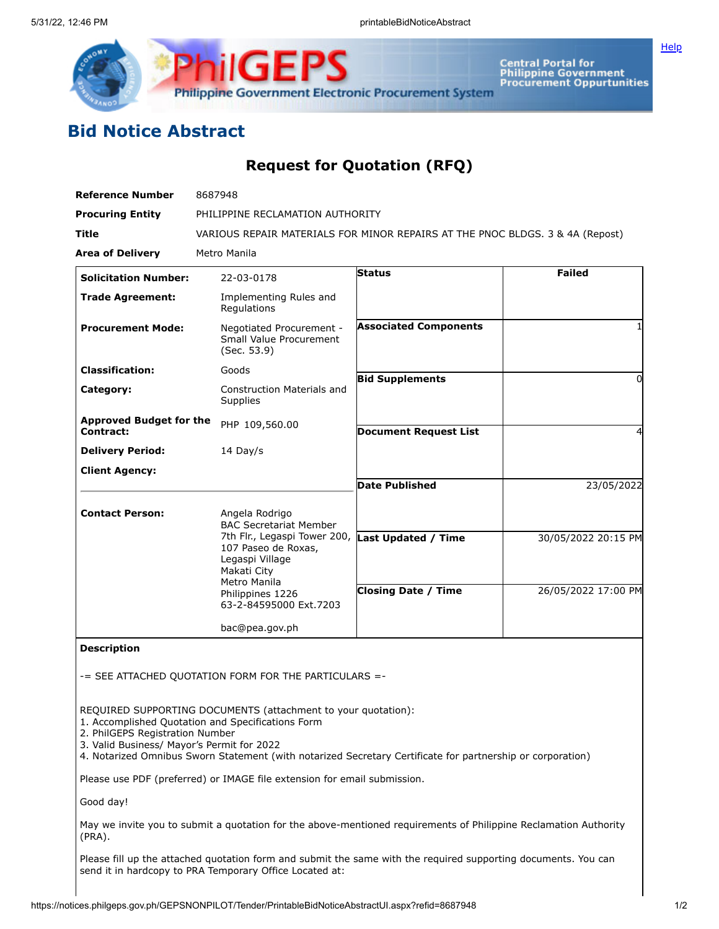

Central Portal for<br>Philippine Government<br>Procurement Oppurtunities

**[Help](javascript:void(window.open()** 

# **Bid Notice Abstract**

## **Request for Quotation (RFQ)**

| Reference Number                                                              | 8687948                                                                                                                                                                                                                          |                              |                     |  |  |  |  |
|-------------------------------------------------------------------------------|----------------------------------------------------------------------------------------------------------------------------------------------------------------------------------------------------------------------------------|------------------------------|---------------------|--|--|--|--|
| <b>Procuring Entity</b>                                                       | PHILIPPINE RECLAMATION AUTHORITY                                                                                                                                                                                                 |                              |                     |  |  |  |  |
| Title                                                                         | VARIOUS REPAIR MATERIALS FOR MINOR REPAIRS AT THE PNOC BLDGS. 3 & 4A (Repost)                                                                                                                                                    |                              |                     |  |  |  |  |
| <b>Area of Delivery</b>                                                       | Metro Manila                                                                                                                                                                                                                     |                              |                     |  |  |  |  |
| <b>Solicitation Number:</b>                                                   | 22-03-0178                                                                                                                                                                                                                       | <b>Status</b>                | <b>Failed</b>       |  |  |  |  |
| <b>Trade Agreement:</b>                                                       | Implementing Rules and<br>Regulations                                                                                                                                                                                            |                              |                     |  |  |  |  |
| <b>Procurement Mode:</b>                                                      | Negotiated Procurement -<br>Small Value Procurement<br>(Sec. 53.9)                                                                                                                                                               | <b>Associated Components</b> |                     |  |  |  |  |
| <b>Classification:</b>                                                        | Goods                                                                                                                                                                                                                            |                              |                     |  |  |  |  |
| Category:                                                                     | <b>Construction Materials and</b><br><b>Supplies</b>                                                                                                                                                                             | <b>Bid Supplements</b>       | $\Omega$            |  |  |  |  |
| <b>Approved Budget for the</b><br>Contract:                                   | PHP 109,560.00                                                                                                                                                                                                                   | <b>Document Request List</b> | 4                   |  |  |  |  |
| <b>Delivery Period:</b>                                                       | 14 Day/s                                                                                                                                                                                                                         |                              |                     |  |  |  |  |
| <b>Client Agency:</b>                                                         |                                                                                                                                                                                                                                  |                              |                     |  |  |  |  |
|                                                                               |                                                                                                                                                                                                                                  | <b>Date Published</b>        | 23/05/2022          |  |  |  |  |
| <b>Contact Person:</b>                                                        | Angela Rodrigo<br><b>BAC Secretariat Member</b>                                                                                                                                                                                  |                              |                     |  |  |  |  |
|                                                                               | 7th Flr., Legaspi Tower 200, Last Updated / Time<br>107 Paseo de Roxas,<br>Legaspi Village<br>Makati City<br>Metro Manila<br>Philippines 1226<br>63-2-84595000 Ext.7203                                                          |                              | 30/05/2022 20:15 PM |  |  |  |  |
|                                                                               |                                                                                                                                                                                                                                  | <b>Closing Date / Time</b>   | 26/05/2022 17:00 PM |  |  |  |  |
|                                                                               | bac@pea.gov.ph                                                                                                                                                                                                                   |                              |                     |  |  |  |  |
| <b>Description</b>                                                            |                                                                                                                                                                                                                                  |                              |                     |  |  |  |  |
|                                                                               | -= SEE ATTACHED QUOTATION FORM FOR THE PARTICULARS =-                                                                                                                                                                            |                              |                     |  |  |  |  |
|                                                                               |                                                                                                                                                                                                                                  |                              |                     |  |  |  |  |
| 2. PhilGEPS Registration Number<br>3. Valid Business/ Mayor's Permit for 2022 | REQUIRED SUPPORTING DOCUMENTS (attachment to your quotation):<br>1. Accomplished Quotation and Specifications Form<br>4. Notarized Omnibus Sworn Statement (with notarized Secretary Certificate for partnership or corporation) |                              |                     |  |  |  |  |
|                                                                               | Please use PDF (preferred) or IMAGE file extension for email submission.                                                                                                                                                         |                              |                     |  |  |  |  |
| Good day!                                                                     |                                                                                                                                                                                                                                  |                              |                     |  |  |  |  |

May we invite you to submit a quotation for the above-mentioned requirements of Philippine Reclamation Authority (PRA).

Please fill up the attached quotation form and submit the same with the required supporting documents. You can send it in hardcopy to PRA Temporary Office Located at: